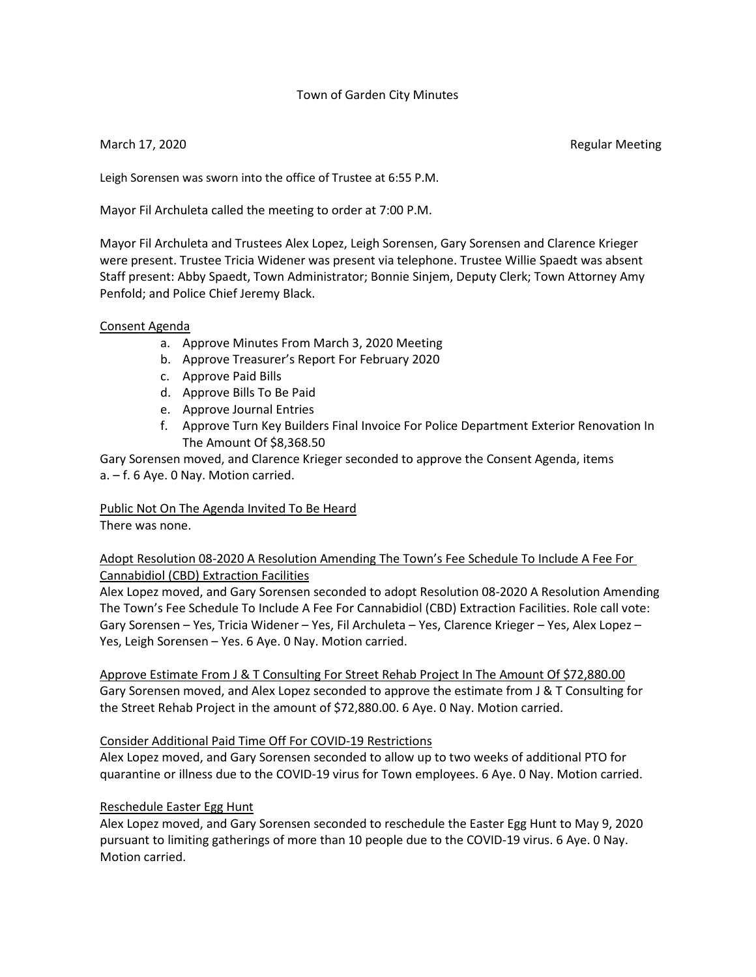## Town of Garden City Minutes

March 17, 2020 **Regular Meeting** 

Leigh Sorensen was sworn into the office of Trustee at 6:55 P.M.

Mayor Fil Archuleta called the meeting to order at 7:00 P.M.

Mayor Fil Archuleta and Trustees Alex Lopez, Leigh Sorensen, Gary Sorensen and Clarence Krieger were present. Trustee Tricia Widener was present via telephone. Trustee Willie Spaedt was absent Staff present: Abby Spaedt, Town Administrator; Bonnie Sinjem, Deputy Clerk; Town Attorney Amy Penfold; and Police Chief Jeremy Black.

## Consent Agenda

- a. Approve Minutes From March 3, 2020 Meeting
- b. Approve Treasurer's Report For February 2020
- c. Approve Paid Bills
- d. Approve Bills To Be Paid
- e. Approve Journal Entries
- f. Approve Turn Key Builders Final Invoice For Police Department Exterior Renovation In The Amount Of \$8,368.50

Gary Sorensen moved, and Clarence Krieger seconded to approve the Consent Agenda, items a. – f. 6 Aye. 0 Nay. Motion carried.

Public Not On The Agenda Invited To Be Heard

There was none.

Adopt Resolution 08-2020 A Resolution Amending The Town's Fee Schedule To Include A Fee For Cannabidiol (CBD) Extraction Facilities

Alex Lopez moved, and Gary Sorensen seconded to adopt Resolution 08-2020 A Resolution Amending The Town's Fee Schedule To Include A Fee For Cannabidiol (CBD) Extraction Facilities. Role call vote: Gary Sorensen – Yes, Tricia Widener – Yes, Fil Archuleta – Yes, Clarence Krieger – Yes, Alex Lopez – Yes, Leigh Sorensen – Yes. 6 Aye. 0 Nay. Motion carried.

Approve Estimate From J & T Consulting For Street Rehab Project In The Amount Of \$72,880.00 Gary Sorensen moved, and Alex Lopez seconded to approve the estimate from J & T Consulting for the Street Rehab Project in the amount of \$72,880.00. 6 Aye. 0 Nay. Motion carried.

# Consider Additional Paid Time Off For COVID-19 Restrictions

Alex Lopez moved, and Gary Sorensen seconded to allow up to two weeks of additional PTO for quarantine or illness due to the COVID-19 virus for Town employees. 6 Aye. 0 Nay. Motion carried.

# Reschedule Easter Egg Hunt

Alex Lopez moved, and Gary Sorensen seconded to reschedule the Easter Egg Hunt to May 9, 2020 pursuant to limiting gatherings of more than 10 people due to the COVID-19 virus. 6 Aye. 0 Nay. Motion carried.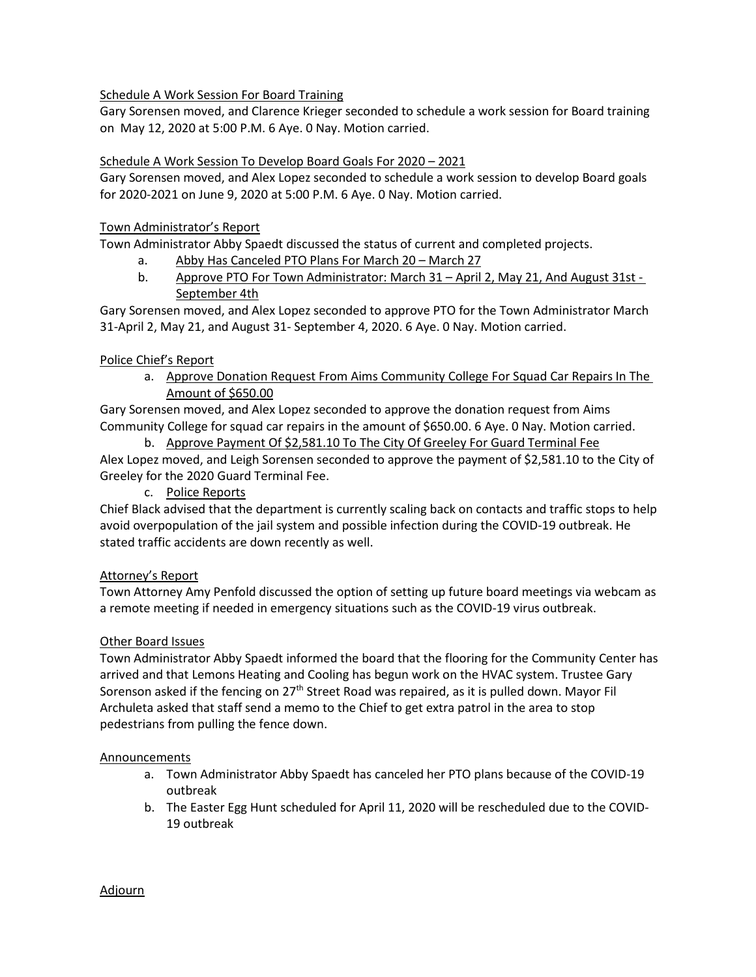# Schedule A Work Session For Board Training

Gary Sorensen moved, and Clarence Krieger seconded to schedule a work session for Board training on May 12, 2020 at 5:00 P.M. 6 Aye. 0 Nay. Motion carried.

# Schedule A Work Session To Develop Board Goals For 2020 – 2021

Gary Sorensen moved, and Alex Lopez seconded to schedule a work session to develop Board goals for 2020-2021 on June 9, 2020 at 5:00 P.M. 6 Aye. 0 Nay. Motion carried.

# Town Administrator's Report

Town Administrator Abby Spaedt discussed the status of current and completed projects.

- a. Abby Has Canceled PTO Plans For March 20 March 27
- b. Approve PTO For Town Administrator: March 31 April 2, May 21, And August 31st September 4th

Gary Sorensen moved, and Alex Lopez seconded to approve PTO for the Town Administrator March 31-April 2, May 21, and August 31- September 4, 2020. 6 Aye. 0 Nay. Motion carried.

# Police Chief's Report

a. Approve Donation Request From Aims Community College For Squad Car Repairs In The Amount of \$650.00

Gary Sorensen moved, and Alex Lopez seconded to approve the donation request from Aims Community College for squad car repairs in the amount of \$650.00. 6 Aye. 0 Nay. Motion carried.

b. Approve Payment Of \$2,581.10 To The City Of Greeley For Guard Terminal Fee Alex Lopez moved, and Leigh Sorensen seconded to approve the payment of \$2,581.10 to the City of Greeley for the 2020 Guard Terminal Fee.

c. Police Reports

Chief Black advised that the department is currently scaling back on contacts and traffic stops to help avoid overpopulation of the jail system and possible infection during the COVID-19 outbreak. He stated traffic accidents are down recently as well.

## Attorney's Report

Town Attorney Amy Penfold discussed the option of setting up future board meetings via webcam as a remote meeting if needed in emergency situations such as the COVID-19 virus outbreak.

## Other Board Issues

Town Administrator Abby Spaedt informed the board that the flooring for the Community Center has arrived and that Lemons Heating and Cooling has begun work on the HVAC system. Trustee Gary Sorenson asked if the fencing on 27<sup>th</sup> Street Road was repaired, as it is pulled down. Mayor Fil Archuleta asked that staff send a memo to the Chief to get extra patrol in the area to stop pedestrians from pulling the fence down.

## Announcements

- a. Town Administrator Abby Spaedt has canceled her PTO plans because of the COVID-19 outbreak
- b. The Easter Egg Hunt scheduled for April 11, 2020 will be rescheduled due to the COVID-19 outbreak